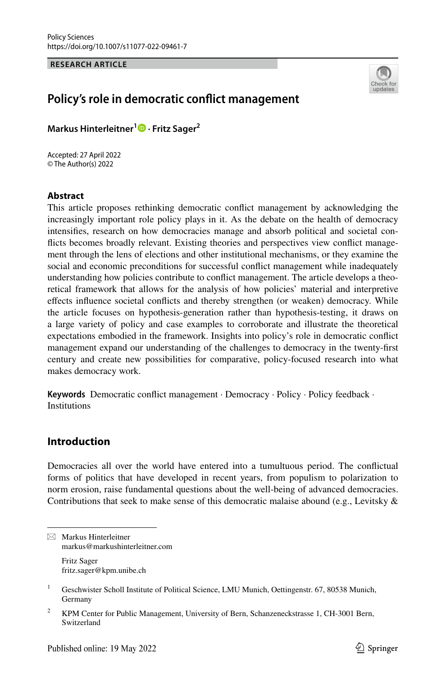**RESEARCH ARTICLE**



# **Policy's role in democratic confict management**

**Markus Hinterleitner1  [·](http://orcid.org/0000-0001-9909-2715) Fritz Sager2**

Accepted: 27 April 2022 © The Author(s) 2022

### **Abstract**

This article proposes rethinking democratic confict management by acknowledging the increasingly important role policy plays in it. As the debate on the health of democracy intensifes, research on how democracies manage and absorb political and societal conficts becomes broadly relevant. Existing theories and perspectives view confict management through the lens of elections and other institutional mechanisms, or they examine the social and economic preconditions for successful confict management while inadequately understanding how policies contribute to confict management. The article develops a theoretical framework that allows for the analysis of how policies' material and interpretive effects influence societal conflicts and thereby strengthen (or weaken) democracy. While the article focuses on hypothesis-generation rather than hypothesis-testing, it draws on a large variety of policy and case examples to corroborate and illustrate the theoretical expectations embodied in the framework. Insights into policy's role in democratic confict management expand our understanding of the challenges to democracy in the twenty-frst century and create new possibilities for comparative, policy-focused research into what makes democracy work.

**Keywords** Democratic confict management · Democracy · Policy · Policy feedback · **Institutions** 

# **Introduction**

Democracies all over the world have entered into a tumultuous period. The confictual forms of politics that have developed in recent years, from populism to polarization to norm erosion, raise fundamental questions about the well-being of advanced democracies. Contributions that seek to make sense of this democratic malaise abound (e.g., Levitsky  $\&$ 

Fritz Sager fritz.sager@kpm.unibe.ch

 $\boxtimes$  Markus Hinterleitner markus@markushinterleitner.com

<sup>&</sup>lt;sup>1</sup> Geschwister Scholl Institute of Political Science, LMU Munich, Oettingenstr. 67, 80538 Munich, Germany

<sup>&</sup>lt;sup>2</sup> KPM Center for Public Management, University of Bern, Schanzeneckstrasse 1, CH-3001 Bern, Switzerland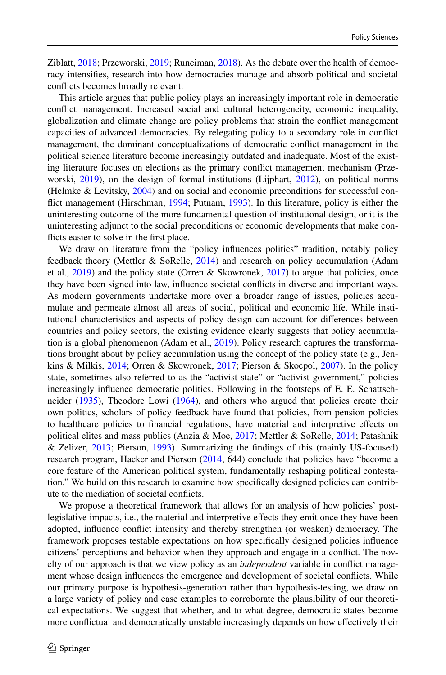Ziblatt, [2018;](#page-14-0) Przeworski, [2019;](#page-14-1) Runciman, [2018](#page-15-0)). As the debate over the health of democracy intensifes, research into how democracies manage and absorb political and societal conficts becomes broadly relevant.

This article argues that public policy plays an increasingly important role in democratic confict management. Increased social and cultural heterogeneity, economic inequality, globalization and climate change are policy problems that strain the confict management capacities of advanced democracies. By relegating policy to a secondary role in confict management, the dominant conceptualizations of democratic confict management in the political science literature become increasingly outdated and inadequate. Most of the existing literature focuses on elections as the primary confict management mechanism (Przeworski, [2019\)](#page-14-1), on the design of formal institutions (Lijphart, [2012\)](#page-14-2), on political norms (Helmke & Levitsky, [2004\)](#page-13-0) and on social and economic preconditions for successful confict management (Hirschman, [1994](#page-13-1); Putnam, [1993](#page-14-3)). In this literature, policy is either the uninteresting outcome of the more fundamental question of institutional design, or it is the uninteresting adjunct to the social preconditions or economic developments that make conficts easier to solve in the frst place.

We draw on literature from the "policy infuences politics" tradition, notably policy feedback theory (Mettler & SoRelle, [2014](#page-14-4)) and research on policy accumulation (Adam et al.,  $2019$ ) and the policy state (Orren & Skowronek,  $2017$ ) to argue that policies, once they have been signed into law, infuence societal conficts in diverse and important ways. As modern governments undertake more over a broader range of issues, policies accumulate and permeate almost all areas of social, political and economic life. While institutional characteristics and aspects of policy design can account for diferences between countries and policy sectors, the existing evidence clearly suggests that policy accumulation is a global phenomenon (Adam et al., [2019](#page-13-2)). Policy research captures the transformations brought about by policy accumulation using the concept of the policy state (e.g., Jenkins & Milkis, [2014;](#page-14-6) Orren & Skowronek, [2017;](#page-14-5) Pierson & Skocpol, [2007](#page-14-7)). In the policy state, sometimes also referred to as the "activist state" or "activist government," policies increasingly infuence democratic politics. Following in the footsteps of E. E. Schattschneider ([1935\)](#page-15-1), Theodore Lowi [\(1964](#page-14-8)), and others who argued that policies create their own politics, scholars of policy feedback have found that policies, from pension policies to healthcare policies to fnancial regulations, have material and interpretive efects on political elites and mass publics (Anzia & Moe, [2017;](#page-13-3) Mettler & SoRelle, [2014](#page-14-4); Patashnik & Zelizer, [2013](#page-14-9); Pierson, [1993](#page-14-10)). Summarizing the fndings of this (mainly US-focused) research program, Hacker and Pierson ([2014,](#page-13-4) 644) conclude that policies have "become a core feature of the American political system, fundamentally reshaping political contestation." We build on this research to examine how specifcally designed policies can contribute to the mediation of societal conficts.

We propose a theoretical framework that allows for an analysis of how policies' postlegislative impacts, i.e., the material and interpretive efects they emit once they have been adopted, infuence confict intensity and thereby strengthen (or weaken) democracy. The framework proposes testable expectations on how specifcally designed policies infuence citizens' perceptions and behavior when they approach and engage in a confict. The novelty of our approach is that we view policy as an *independent* variable in confict management whose design infuences the emergence and development of societal conficts. While our primary purpose is hypothesis-generation rather than hypothesis-testing, we draw on a large variety of policy and case examples to corroborate the plausibility of our theoretical expectations. We suggest that whether, and to what degree, democratic states become more confictual and democratically unstable increasingly depends on how efectively their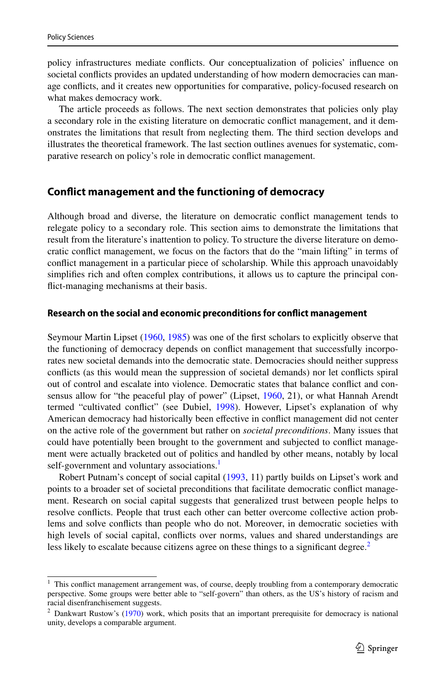policy infrastructures mediate conficts. Our conceptualization of policies' infuence on societal conficts provides an updated understanding of how modern democracies can manage conficts, and it creates new opportunities for comparative, policy-focused research on what makes democracy work.

The article proceeds as follows. The next section demonstrates that policies only play a secondary role in the existing literature on democratic confict management, and it demonstrates the limitations that result from neglecting them. The third section develops and illustrates the theoretical framework. The last section outlines avenues for systematic, comparative research on policy's role in democratic confict management.

### **Confict management and the functioning of democracy**

Although broad and diverse, the literature on democratic confict management tends to relegate policy to a secondary role. This section aims to demonstrate the limitations that result from the literature's inattention to policy. To structure the diverse literature on democratic confict management, we focus on the factors that do the "main lifting" in terms of confict management in a particular piece of scholarship. While this approach unavoidably simplifes rich and often complex contributions, it allows us to capture the principal confict-managing mechanisms at their basis.

#### **Research on the social and economic preconditions for confict management**

Seymour Martin Lipset [\(1960](#page-14-11), [1985](#page-14-12)) was one of the frst scholars to explicitly observe that the functioning of democracy depends on confict management that successfully incorporates new societal demands into the democratic state. Democracies should neither suppress conficts (as this would mean the suppression of societal demands) nor let conficts spiral out of control and escalate into violence. Democratic states that balance confict and con-sensus allow for "the peaceful play of power" (Lipset, [1960,](#page-14-11) 21), or what Hannah Arendt termed "cultivated confict" (see Dubiel, [1998\)](#page-13-5). However, Lipset's explanation of why American democracy had historically been efective in confict management did not center on the active role of the government but rather on *societal preconditions*. Many issues that could have potentially been brought to the government and subjected to confict management were actually bracketed out of politics and handled by other means, notably by local self-government and voluntary associations.<sup>1</sup>

Robert Putnam's concept of social capital ([1993,](#page-14-3) 11) partly builds on Lipset's work and points to a broader set of societal preconditions that facilitate democratic confict management. Research on social capital suggests that generalized trust between people helps to resolve conficts. People that trust each other can better overcome collective action problems and solve conficts than people who do not. Moreover, in democratic societies with high levels of social capital, conficts over norms, values and shared understandings are less likely to escalate because citizens agree on these things to a significant degree.<sup>[2](#page-2-1)</sup>

<span id="page-2-0"></span><sup>&</sup>lt;sup>1</sup> This conflict management arrangement was, of course, deeply troubling from a contemporary democratic perspective. Some groups were better able to "self-govern" than others, as the US's history of racism and racial disenfranchisement suggests.

<span id="page-2-1"></span> $2$  Dankwart Rustow's ([1970\)](#page-15-2) work, which posits that an important prerequisite for democracy is national unity, develops a comparable argument.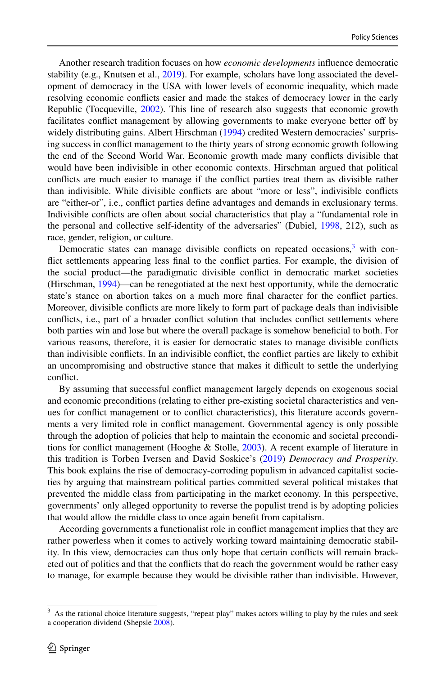Another research tradition focuses on how *economic developments* infuence democratic stability (e.g., Knutsen et al., [2019](#page-14-13)). For example, scholars have long associated the development of democracy in the USA with lower levels of economic inequality, which made resolving economic conficts easier and made the stakes of democracy lower in the early Republic (Tocqueville, [2002\)](#page-13-6). This line of research also suggests that economic growth facilitates confict management by allowing governments to make everyone better of by widely distributing gains. Albert Hirschman ([1994\)](#page-13-1) credited Western democracies' surprising success in confict management to the thirty years of strong economic growth following the end of the Second World War. Economic growth made many conficts divisible that would have been indivisible in other economic contexts. Hirschman argued that political conficts are much easier to manage if the confict parties treat them as divisible rather than indivisible. While divisible conficts are about "more or less", indivisible conficts are "either-or", i.e., confict parties defne advantages and demands in exclusionary terms. Indivisible conficts are often about social characteristics that play a "fundamental role in the personal and collective self-identity of the adversaries" (Dubiel, [1998,](#page-13-5) 212), such as race, gender, religion, or culture.

Democratic states can manage divisible conflicts on repeated occasions,<sup>[3](#page-3-0)</sup> with confict settlements appearing less fnal to the confict parties. For example, the division of the social product—the paradigmatic divisible confict in democratic market societies (Hirschman, [1994](#page-13-1))—can be renegotiated at the next best opportunity, while the democratic state's stance on abortion takes on a much more fnal character for the confict parties. Moreover, divisible conficts are more likely to form part of package deals than indivisible conficts, i.e., part of a broader confict solution that includes confict settlements where both parties win and lose but where the overall package is somehow benefcial to both. For various reasons, therefore, it is easier for democratic states to manage divisible conficts than indivisible conficts. In an indivisible confict, the confict parties are likely to exhibit an uncompromising and obstructive stance that makes it difficult to settle the underlying confict.

By assuming that successful confict management largely depends on exogenous social and economic preconditions (relating to either pre-existing societal characteristics and venues for confict management or to confict characteristics), this literature accords governments a very limited role in confict management. Governmental agency is only possible through the adoption of policies that help to maintain the economic and societal precondi-tions for conflict management (Hooghe & Stolle, [2003\)](#page-13-7). A recent example of literature in this tradition is Torben Iversen and David Soskice's [\(2019](#page-14-14)) *Democracy and Prosperity*. This book explains the rise of democracy-corroding populism in advanced capitalist societies by arguing that mainstream political parties committed several political mistakes that prevented the middle class from participating in the market economy. In this perspective, governments' only alleged opportunity to reverse the populist trend is by adopting policies that would allow the middle class to once again beneft from capitalism.

According governments a functionalist role in confict management implies that they are rather powerless when it comes to actively working toward maintaining democratic stability. In this view, democracies can thus only hope that certain conficts will remain bracketed out of politics and that the conficts that do reach the government would be rather easy to manage, for example because they would be divisible rather than indivisible. However,

<span id="page-3-0"></span><sup>&</sup>lt;sup>3</sup> As the rational choice literature suggests, "repeat play" makes actors willing to play by the rules and seek a cooperation dividend (Shepsle [2008\)](#page-15-3).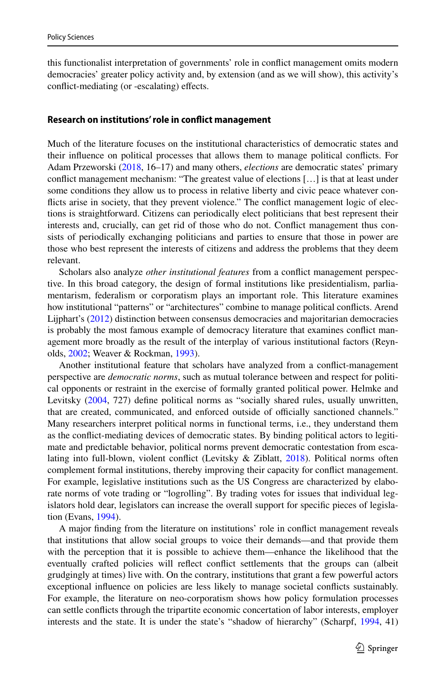this functionalist interpretation of governments' role in confict management omits modern democracies' greater policy activity and, by extension (and as we will show), this activity's confict-mediating (or -escalating) efects.

#### **Research on institutions' role in confict management**

Much of the literature focuses on the institutional characteristics of democratic states and their infuence on political processes that allows them to manage political conficts. For Adam Przeworski [\(2018](#page-14-15), 16–17) and many others, *elections* are democratic states' primary confict management mechanism: "The greatest value of elections […] is that at least under some conditions they allow us to process in relative liberty and civic peace whatever conficts arise in society, that they prevent violence." The confict management logic of elections is straightforward. Citizens can periodically elect politicians that best represent their interests and, crucially, can get rid of those who do not. Confict management thus consists of periodically exchanging politicians and parties to ensure that those in power are those who best represent the interests of citizens and address the problems that they deem relevant.

Scholars also analyze *other institutional features* from a confict management perspective. In this broad category, the design of formal institutions like presidentialism, parliamentarism, federalism or corporatism plays an important role. This literature examines how institutional "patterns" or "architectures" combine to manage political conficts. Arend Lijphart's ([2012\)](#page-14-2) distinction between consensus democracies and majoritarian democracies is probably the most famous example of democracy literature that examines confict management more broadly as the result of the interplay of various institutional factors (Reynolds, [2002](#page-14-16); Weaver & Rockman, [1993\)](#page-15-4).

Another institutional feature that scholars have analyzed from a confict-management perspective are *democratic norms*, such as mutual tolerance between and respect for political opponents or restraint in the exercise of formally granted political power. Helmke and Levitsky ([2004,](#page-13-0) 727) defne political norms as "socially shared rules, usually unwritten, that are created, communicated, and enforced outside of officially sanctioned channels." Many researchers interpret political norms in functional terms, i.e., they understand them as the confict-mediating devices of democratic states. By binding political actors to legitimate and predictable behavior, political norms prevent democratic contestation from escalating into full-blown, violent confict (Levitsky & Ziblatt, [2018\)](#page-14-0). Political norms often complement formal institutions, thereby improving their capacity for confict management. For example, legislative institutions such as the US Congress are characterized by elaborate norms of vote trading or "logrolling". By trading votes for issues that individual legislators hold dear, legislators can increase the overall support for specifc pieces of legislation (Evans, [1994\)](#page-13-8).

A major fnding from the literature on institutions' role in confict management reveals that institutions that allow social groups to voice their demands—and that provide them with the perception that it is possible to achieve them—enhance the likelihood that the eventually crafted policies will refect confict settlements that the groups can (albeit grudgingly at times) live with. On the contrary, institutions that grant a few powerful actors exceptional infuence on policies are less likely to manage societal conficts sustainably. For example, the literature on neo-corporatism shows how policy formulation processes can settle conficts through the tripartite economic concertation of labor interests, employer interests and the state. It is under the state's "shadow of hierarchy" (Scharpf, [1994](#page-15-5), 41)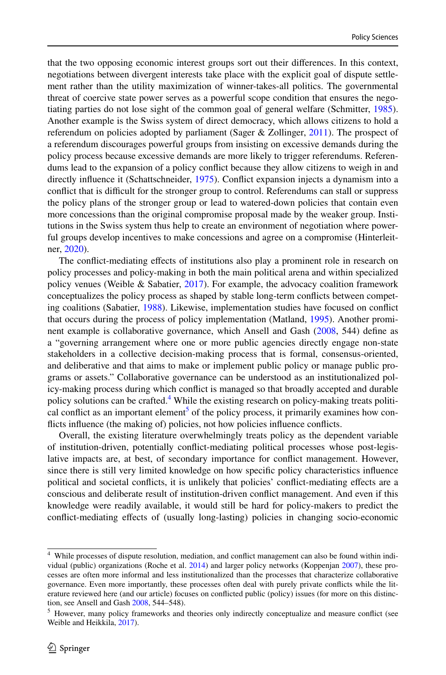that the two opposing economic interest groups sort out their diferences. In this context, negotiations between divergent interests take place with the explicit goal of dispute settlement rather than the utility maximization of winner-takes-all politics. The governmental threat of coercive state power serves as a powerful scope condition that ensures the negotiating parties do not lose sight of the common goal of general welfare (Schmitter, [1985](#page-15-6)). Another example is the Swiss system of direct democracy, which allows citizens to hold a referendum on policies adopted by parliament (Sager & Zollinger, [2011\)](#page-15-7). The prospect of a referendum discourages powerful groups from insisting on excessive demands during the policy process because excessive demands are more likely to trigger referendums. Referendums lead to the expansion of a policy confict because they allow citizens to weigh in and directly infuence it (Schattschneider, [1975\)](#page-15-8). Confict expansion injects a dynamism into a conflict that is difficult for the stronger group to control. Referendums can stall or suppress the policy plans of the stronger group or lead to watered-down policies that contain even more concessions than the original compromise proposal made by the weaker group. Institutions in the Swiss system thus help to create an environment of negotiation where powerful groups develop incentives to make concessions and agree on a compromise (Hinterleitner, [2020](#page-13-9)).

The confict-mediating efects of institutions also play a prominent role in research on policy processes and policy-making in both the main political arena and within specialized policy venues (Weible & Sabatier, [2017\)](#page-15-9). For example, the advocacy coalition framework conceptualizes the policy process as shaped by stable long-term conficts between competing coalitions (Sabatier, [1988\)](#page-15-10). Likewise, implementation studies have focused on confict that occurs during the process of policy implementation (Matland, [1995](#page-14-17)). Another prominent example is collaborative governance, which Ansell and Gash [\(2008](#page-13-10), 544) defne as a "governing arrangement where one or more public agencies directly engage non-state stakeholders in a collective decision-making process that is formal, consensus-oriented, and deliberative and that aims to make or implement public policy or manage public programs or assets." Collaborative governance can be understood as an institutionalized policy-making process during which confict is managed so that broadly accepted and durable policy solutions can be crafted.<sup>[4](#page-5-0)</sup> While the existing research on policy-making treats politi-cal conflict as an important element<sup>[5](#page-5-1)</sup> of the policy process, it primarily examines how conficts infuence (the making of) policies, not how policies infuence conficts.

Overall, the existing literature overwhelmingly treats policy as the dependent variable of institution-driven, potentially confict-mediating political processes whose post-legislative impacts are, at best, of secondary importance for confict management. However, since there is still very limited knowledge on how specifc policy characteristics infuence political and societal conficts, it is unlikely that policies' confict-mediating efects are a conscious and deliberate result of institution-driven confict management. And even if this knowledge were readily available, it would still be hard for policy-makers to predict the confict-mediating efects of (usually long-lasting) policies in changing socio-economic

<span id="page-5-0"></span><sup>4</sup> While processes of dispute resolution, mediation, and confict management can also be found within individual (public) organizations (Roche et al. [2014\)](#page-14-18) and larger policy networks (Koppenjan [2007](#page-14-19)), these processes are often more informal and less institutionalized than the processes that characterize collaborative governance. Even more importantly, these processes often deal with purely private conficts while the literature reviewed here (and our article) focuses on conficted public (policy) issues (for more on this distinction, see Ansell and Gash [2008](#page-13-10), 544–548).

<span id="page-5-1"></span><sup>5</sup> However, many policy frameworks and theories only indirectly conceptualize and measure confict (see Weible and Heikkila, [2017](#page-15-11)).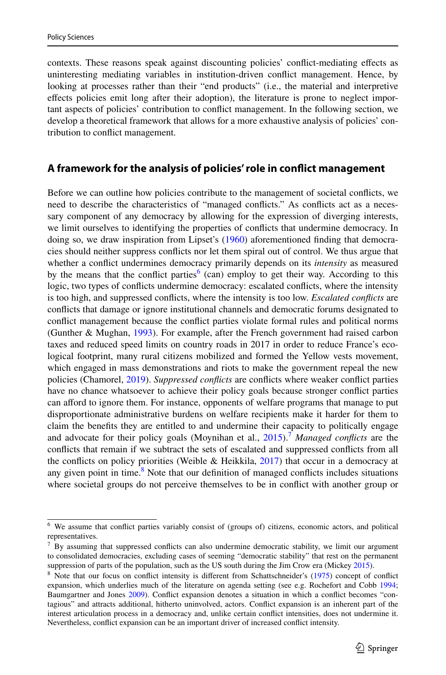contexts. These reasons speak against discounting policies' confict-mediating efects as uninteresting mediating variables in institution-driven confict management. Hence, by looking at processes rather than their "end products" (i.e., the material and interpretive efects policies emit long after their adoption), the literature is prone to neglect important aspects of policies' contribution to confict management. In the following section, we develop a theoretical framework that allows for a more exhaustive analysis of policies' contribution to confict management.

### **A framework for the analysis of policies' role in confict management**

Before we can outline how policies contribute to the management of societal conficts, we need to describe the characteristics of "managed conficts." As conficts act as a necessary component of any democracy by allowing for the expression of diverging interests, we limit ourselves to identifying the properties of conficts that undermine democracy. In doing so, we draw inspiration from Lipset's ([1960\)](#page-14-11) aforementioned fnding that democracies should neither suppress conficts nor let them spiral out of control. We thus argue that whether a confict undermines democracy primarily depends on its *intensity* as measured by the means that the conflict parties<sup>6</sup> (can) employ to get their way. According to this logic, two types of conficts undermine democracy: escalated conficts, where the intensity is too high, and suppressed conficts, where the intensity is too low. *Escalated conficts* are conficts that damage or ignore institutional channels and democratic forums designated to confict management because the confict parties violate formal rules and political norms (Gunther & Mughan, [1993](#page-13-11)). For example, after the French government had raised carbon taxes and reduced speed limits on country roads in 2017 in order to reduce France's ecological footprint, many rural citizens mobilized and formed the Yellow vests movement, which engaged in mass demonstrations and riots to make the government repeal the new policies (Chamorel, [2019](#page-13-12)). *Suppressed conficts* are conficts where weaker confict parties have no chance whatsoever to achieve their policy goals because stronger confict parties can afford to ignore them. For instance, opponents of welfare programs that manage to put disproportionate administrative burdens on welfare recipients make it harder for them to claim the benefts they are entitled to and undermine their capacity to politically engage and advocate for their policy goals (Moynihan et al., [2015\)](#page-14-20).<sup>7</sup> Managed conflicts are the conficts that remain if we subtract the sets of escalated and suppressed conficts from all the conflicts on policy priorities (Weible & Heikkila,  $2017$ ) that occur in a democracy at any given point in time.<sup>[8](#page-6-2)</sup> Note that our definition of managed conflicts includes situations where societal groups do not perceive themselves to be in confict with another group or

<span id="page-6-0"></span><sup>6</sup> We assume that confict parties variably consist of (groups of) citizens, economic actors, and political representatives.

<span id="page-6-1"></span><sup>7</sup> By assuming that suppressed conficts can also undermine democratic stability, we limit our argument to consolidated democracies, excluding cases of seeming "democratic stability" that rest on the permanent suppression of parts of the population, such as the US south during the Jim Crow era (Mickey [2015\)](#page-14-21).

<span id="page-6-2"></span><sup>&</sup>lt;sup>8</sup> Note that our focus on conflict intensity is different from Schattschneider's [\(1975](#page-15-8)) concept of conflict expansion, which underlies much of the literature on agenda setting (see e.g. Rochefort and Cobb [1994](#page-14-22); Baumgartner and Jones [2009\)](#page-13-13). Confict expansion denotes a situation in which a confict becomes "contagious" and attracts additional, hitherto uninvolved, actors. Confict expansion is an inherent part of the interest articulation process in a democracy and, unlike certain confict intensities, does not undermine it. Nevertheless, confict expansion can be an important driver of increased confict intensity.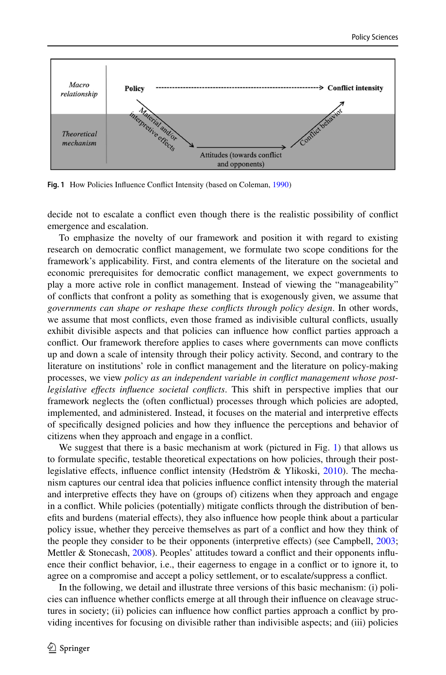

<span id="page-7-0"></span>**Fig. 1** How Policies Infuence Confict Intensity (based on Coleman, [1990\)](#page-13-16)

decide not to escalate a confict even though there is the realistic possibility of confict emergence and escalation.

To emphasize the novelty of our framework and position it with regard to existing research on democratic confict management, we formulate two scope conditions for the framework's applicability. First, and contra elements of the literature on the societal and economic prerequisites for democratic confict management, we expect governments to play a more active role in confict management. Instead of viewing the "manageability" of conficts that confront a polity as something that is exogenously given, we assume that *governments can shape or reshape these conficts through policy design*. In other words, we assume that most conficts, even those framed as indivisible cultural conficts, usually exhibit divisible aspects and that policies can infuence how confict parties approach a confict. Our framework therefore applies to cases where governments can move conficts up and down a scale of intensity through their policy activity. Second, and contrary to the literature on institutions' role in confict management and the literature on policy-making processes, we view *policy as an independent variable in confict management whose postlegislative efects infuence societal conficts*. This shift in perspective implies that our framework neglects the (often confictual) processes through which policies are adopted, implemented, and administered. Instead, it focuses on the material and interpretive efects of specifcally designed policies and how they infuence the perceptions and behavior of citizens when they approach and engage in a confict.

We suggest that there is a basic mechanism at work (pictured in Fig. [1](#page-7-0)) that allows us to formulate specifc, testable theoretical expectations on how policies, through their postlegislative effects, influence conflict intensity (Hedström & Ylikoski,  $2010$ ). The mechanism captures our central idea that policies infuence confict intensity through the material and interpretive efects they have on (groups of) citizens when they approach and engage in a confict. While policies (potentially) mitigate conficts through the distribution of benefts and burdens (material efects), they also infuence how people think about a particular policy issue, whether they perceive themselves as part of a confict and how they think of the people they consider to be their opponents (interpretive efects) (see Campbell, [2003;](#page-13-15) Mettler & Stonecash, [2008\)](#page-14-23). Peoples' attitudes toward a confict and their opponents infuence their confict behavior, i.e., their eagerness to engage in a confict or to ignore it, to agree on a compromise and accept a policy settlement, or to escalate/suppress a confict.

In the following, we detail and illustrate three versions of this basic mechanism: (i) policies can infuence whether conficts emerge at all through their infuence on cleavage structures in society; (ii) policies can infuence how confict parties approach a confict by providing incentives for focusing on divisible rather than indivisible aspects; and (iii) policies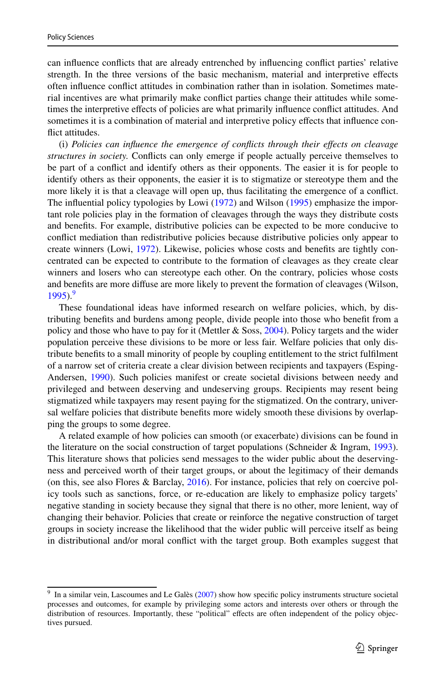can infuence conficts that are already entrenched by infuencing confict parties' relative strength. In the three versions of the basic mechanism, material and interpretive efects often infuence confict attitudes in combination rather than in isolation. Sometimes material incentives are what primarily make confict parties change their attitudes while sometimes the interpretive efects of policies are what primarily infuence confict attitudes. And sometimes it is a combination of material and interpretive policy efects that infuence conflict attitudes.

(i) *Policies can infuence the emergence of conficts through their efects on cleavage structures in society.* Conficts can only emerge if people actually perceive themselves to be part of a confict and identify others as their opponents. The easier it is for people to identify others as their opponents, the easier it is to stigmatize or stereotype them and the more likely it is that a cleavage will open up, thus facilitating the emergence of a confict. The infuential policy typologies by Lowi [\(1972](#page-14-24)) and Wilson [\(1995](#page-15-12)) emphasize the important role policies play in the formation of cleavages through the ways they distribute costs and benefts. For example, distributive policies can be expected to be more conducive to confict mediation than redistributive policies because distributive policies only appear to create winners (Lowi, [1972](#page-14-24)). Likewise, policies whose costs and benefts are tightly concentrated can be expected to contribute to the formation of cleavages as they create clear winners and losers who can stereotype each other. On the contrary, policies whose costs and benefts are more difuse are more likely to prevent the formation of cleavages (Wilson,  $1995$ <sup>9</sup>

These foundational ideas have informed research on welfare policies, which, by distributing benefts and burdens among people, divide people into those who beneft from a policy and those who have to pay for it (Mettler  $&$  Soss, [2004](#page-14-25)). Policy targets and the wider population perceive these divisions to be more or less fair. Welfare policies that only distribute benefts to a small minority of people by coupling entitlement to the strict fulflment of a narrow set of criteria create a clear division between recipients and taxpayers (Esping-Andersen, [1990](#page-13-17)). Such policies manifest or create societal divisions between needy and privileged and between deserving and undeserving groups. Recipients may resent being stigmatized while taxpayers may resent paying for the stigmatized. On the contrary, universal welfare policies that distribute benefts more widely smooth these divisions by overlapping the groups to some degree.

A related example of how policies can smooth (or exacerbate) divisions can be found in the literature on the social construction of target populations (Schneider & Ingram, [1993](#page-15-13)). This literature shows that policies send messages to the wider public about the deservingness and perceived worth of their target groups, or about the legitimacy of their demands (on this, see also Flores & Barclay,  $2016$ ). For instance, policies that rely on coercive policy tools such as sanctions, force, or re-education are likely to emphasize policy targets' negative standing in society because they signal that there is no other, more lenient, way of changing their behavior. Policies that create or reinforce the negative construction of target groups in society increase the likelihood that the wider public will perceive itself as being in distributional and/or moral confict with the target group. Both examples suggest that

<span id="page-8-0"></span>In a similar vein, Lascoumes and Le Galès ([2007\)](#page-14-26) show how specific policy instruments structure societal processes and outcomes, for example by privileging some actors and interests over others or through the distribution of resources. Importantly, these "political" effects are often independent of the policy objectives pursued.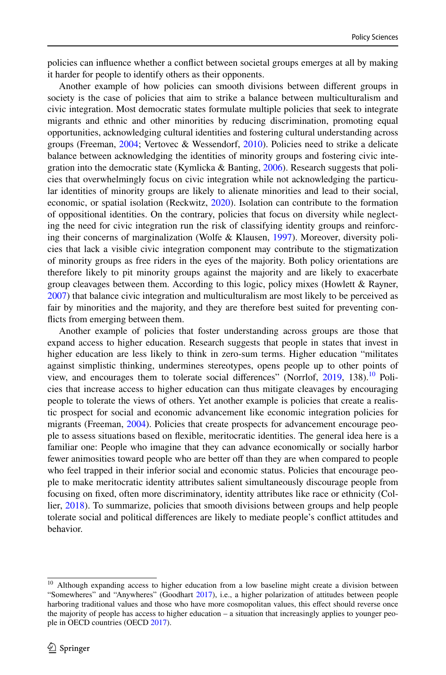policies can infuence whether a confict between societal groups emerges at all by making it harder for people to identify others as their opponents.

Another example of how policies can smooth divisions between diferent groups in society is the case of policies that aim to strike a balance between multiculturalism and civic integration. Most democratic states formulate multiple policies that seek to integrate migrants and ethnic and other minorities by reducing discrimination, promoting equal opportunities, acknowledging cultural identities and fostering cultural understanding across groups (Freeman, [2004](#page-13-19); Vertovec & Wessendorf, [2010\)](#page-15-14). Policies need to strike a delicate balance between acknowledging the identities of minority groups and fostering civic integration into the democratic state (Kymlicka & Banting,  $2006$ ). Research suggests that policies that overwhelmingly focus on civic integration while not acknowledging the particular identities of minority groups are likely to alienate minorities and lead to their social, economic, or spatial isolation (Reckwitz, [2020](#page-14-28)). Isolation can contribute to the formation of oppositional identities. On the contrary, policies that focus on diversity while neglecting the need for civic integration run the risk of classifying identity groups and reinforcing their concerns of marginalization (Wolfe & Klausen, [1997\)](#page-15-15). Moreover, diversity policies that lack a visible civic integration component may contribute to the stigmatization of minority groups as free riders in the eyes of the majority. Both policy orientations are therefore likely to pit minority groups against the majority and are likely to exacerbate group cleavages between them. According to this logic, policy mixes (Howlett & Rayner, [2007\)](#page-13-20) that balance civic integration and multiculturalism are most likely to be perceived as fair by minorities and the majority, and they are therefore best suited for preventing conficts from emerging between them.

Another example of policies that foster understanding across groups are those that expand access to higher education. Research suggests that people in states that invest in higher education are less likely to think in zero-sum terms. Higher education "militates against simplistic thinking, undermines stereotypes, opens people up to other points of view, and encourages them to tolerate social differences" (Norrlof,  $2019$ , 138).<sup>10</sup> Policies that increase access to higher education can thus mitigate cleavages by encouraging people to tolerate the views of others. Yet another example is policies that create a realistic prospect for social and economic advancement like economic integration policies for migrants (Freeman, [2004\)](#page-13-19). Policies that create prospects for advancement encourage people to assess situations based on fexible, meritocratic identities. The general idea here is a familiar one: People who imagine that they can advance economically or socially harbor fewer animosities toward people who are better off than they are when compared to people who feel trapped in their inferior social and economic status. Policies that encourage people to make meritocratic identity attributes salient simultaneously discourage people from focusing on fxed, often more discriminatory, identity attributes like race or ethnicity (Collier, [2018](#page-13-21)). To summarize, policies that smooth divisions between groups and help people tolerate social and political diferences are likely to mediate people's confict attitudes and behavior.

<span id="page-9-0"></span><sup>&</sup>lt;sup>10</sup> Although expanding access to higher education from a low baseline might create a division between "Somewheres" and "Anywheres" (Goodhart [2017](#page-13-22)), i.e., a higher polarization of attitudes between people harboring traditional values and those who have more cosmopolitan values, this efect should reverse once the majority of people has access to higher education – a situation that increasingly applies to younger people in OECD countries (OECD [2017](#page-14-30)).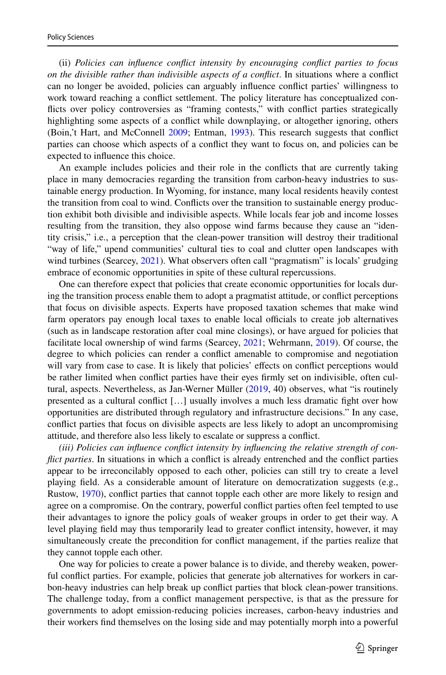(ii) *Policies can infuence confict intensity by encouraging confict parties to focus on the divisible rather than indivisible aspects of a confict*. In situations where a confict can no longer be avoided, policies can arguably infuence confict parties' willingness to work toward reaching a confict settlement. The policy literature has conceptualized conficts over policy controversies as "framing contests," with confict parties strategically highlighting some aspects of a confict while downplaying, or altogether ignoring, others (Boin,'t Hart, and McConnell [2009](#page-13-23); Entman, [1993\)](#page-13-24). This research suggests that confict parties can choose which aspects of a confict they want to focus on, and policies can be expected to infuence this choice.

An example includes policies and their role in the conficts that are currently taking place in many democracies regarding the transition from carbon-heavy industries to sustainable energy production. In Wyoming, for instance, many local residents heavily contest the transition from coal to wind. Conficts over the transition to sustainable energy production exhibit both divisible and indivisible aspects. While locals fear job and income losses resulting from the transition, they also oppose wind farms because they cause an "identity crisis," i.e., a perception that the clean-power transition will destroy their traditional "way of life," upend communities' cultural ties to coal and clutter open landscapes with wind turbines (Searcey, [2021\)](#page-15-16). What observers often call "pragmatism" is locals' grudging embrace of economic opportunities in spite of these cultural repercussions.

One can therefore expect that policies that create economic opportunities for locals during the transition process enable them to adopt a pragmatist attitude, or confict perceptions that focus on divisible aspects. Experts have proposed taxation schemes that make wind farm operators pay enough local taxes to enable local officials to create job alternatives (such as in landscape restoration after coal mine closings), or have argued for policies that facilitate local ownership of wind farms (Searcey, [2021;](#page-15-16) Wehrmann, [2019](#page-15-17)). Of course, the degree to which policies can render a confict amenable to compromise and negotiation will vary from case to case. It is likely that policies' effects on conflict perceptions would be rather limited when confict parties have their eyes frmly set on indivisible, often cultural, aspects. Nevertheless, as Jan-Werner Müller [\(2019](#page-14-31), 40) observes, what "is routinely presented as a cultural confict […] usually involves a much less dramatic fght over how opportunities are distributed through regulatory and infrastructure decisions." In any case, confict parties that focus on divisible aspects are less likely to adopt an uncompromising attitude, and therefore also less likely to escalate or suppress a confict.

*(iii) Policies can infuence confict intensity by infuencing the relative strength of conflict parties*. In situations in which a conflict is already entrenched and the conflict parties appear to be irreconcilably opposed to each other, policies can still try to create a level playing feld. As a considerable amount of literature on democratization suggests (e.g., Rustow, [1970](#page-15-2)), confict parties that cannot topple each other are more likely to resign and agree on a compromise. On the contrary, powerful confict parties often feel tempted to use their advantages to ignore the policy goals of weaker groups in order to get their way. A level playing feld may thus temporarily lead to greater confict intensity, however, it may simultaneously create the precondition for confict management, if the parties realize that they cannot topple each other.

One way for policies to create a power balance is to divide, and thereby weaken, powerful conflict parties. For example, policies that generate job alternatives for workers in carbon-heavy industries can help break up confict parties that block clean-power transitions. The challenge today, from a confict management perspective, is that as the pressure for governments to adopt emission-reducing policies increases, carbon-heavy industries and their workers fnd themselves on the losing side and may potentially morph into a powerful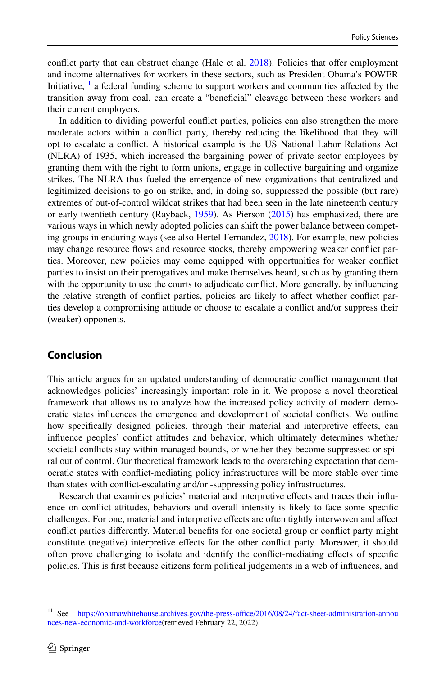confict party that can obstruct change (Hale et al. [2018\)](#page-13-25). Policies that ofer employment and income alternatives for workers in these sectors, such as President Obama's POWER Initiative, $\frac{11}{11}$  a federal funding scheme to support workers and communities affected by the transition away from coal, can create a "beneficial" cleavage between these workers and their current employers.

In addition to dividing powerful confict parties, policies can also strengthen the more moderate actors within a confict party, thereby reducing the likelihood that they will opt to escalate a confict. A historical example is the US National Labor Relations Act (NLRA) of 1935, which increased the bargaining power of private sector employees by granting them with the right to form unions, engage in collective bargaining and organize strikes. The NLRA thus fueled the emergence of new organizations that centralized and legitimized decisions to go on strike, and, in doing so, suppressed the possible (but rare) extremes of out-of-control wildcat strikes that had been seen in the late nineteenth century or early twentieth century (Rayback, [1959](#page-14-32)). As Pierson [\(2015](#page-14-33)) has emphasized, there are various ways in which newly adopted policies can shift the power balance between competing groups in enduring ways (see also Hertel-Fernandez, [2018](#page-13-26)). For example, new policies may change resource fows and resource stocks, thereby empowering weaker confict parties. Moreover, new policies may come equipped with opportunities for weaker confict parties to insist on their prerogatives and make themselves heard, such as by granting them with the opportunity to use the courts to adjudicate confict. More generally, by infuencing the relative strength of confict parties, policies are likely to afect whether confict parties develop a compromising attitude or choose to escalate a confict and/or suppress their (weaker) opponents.

# **Conclusion**

This article argues for an updated understanding of democratic confict management that acknowledges policies' increasingly important role in it. We propose a novel theoretical framework that allows us to analyze how the increased policy activity of modern democratic states infuences the emergence and development of societal conficts. We outline how specifcally designed policies, through their material and interpretive efects, can infuence peoples' confict attitudes and behavior, which ultimately determines whether societal conficts stay within managed bounds, or whether they become suppressed or spiral out of control. Our theoretical framework leads to the overarching expectation that democratic states with confict-mediating policy infrastructures will be more stable over time than states with confict-escalating and/or -suppressing policy infrastructures.

Research that examines policies' material and interpretive efects and traces their infuence on confict attitudes, behaviors and overall intensity is likely to face some specifc challenges. For one, material and interpretive efects are often tightly interwoven and afect confict parties diferently. Material benefts for one societal group or confict party might constitute (negative) interpretive efects for the other confict party. Moreover, it should often prove challenging to isolate and identify the confict-mediating efects of specifc policies. This is frst because citizens form political judgements in a web of infuences, and

<span id="page-11-0"></span><sup>&</sup>lt;sup>11</sup> See https://obamawhitehouse.archives.gov/the-press-office/2016/08/24/fact-sheet-administration-annou [nces-new-economic-and-workforce\(](https://obamawhitehouse.archives.gov/the-press-office/2016/08/24/fact-sheet-administration-announces-new-economic-and-workforce)retrieved February 22, 2022).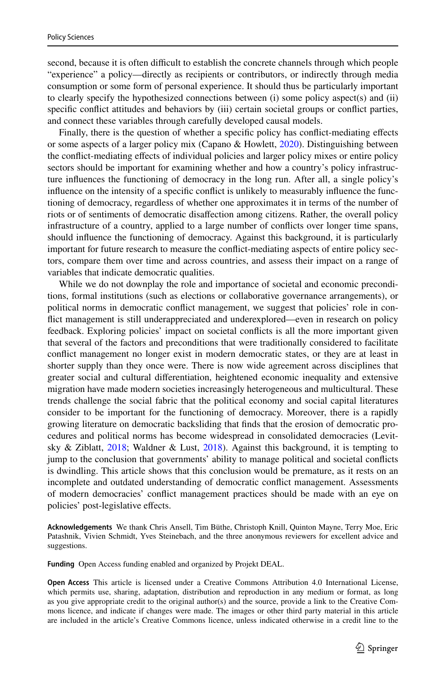second, because it is often difficult to establish the concrete channels through which people "experience" a policy—directly as recipients or contributors, or indirectly through media consumption or some form of personal experience. It should thus be particularly important to clearly specify the hypothesized connections between (i) some policy aspect(s) and (ii) specifc confict attitudes and behaviors by (iii) certain societal groups or confict parties, and connect these variables through carefully developed causal models.

Finally, there is the question of whether a specifc policy has confict-mediating efects or some aspects of a larger policy mix (Capano & Howlett, [2020\)](#page-13-27). Distinguishing between the confict-mediating efects of individual policies and larger policy mixes or entire policy sectors should be important for examining whether and how a country's policy infrastructure infuences the functioning of democracy in the long run. After all, a single policy's infuence on the intensity of a specifc confict is unlikely to measurably infuence the functioning of democracy, regardless of whether one approximates it in terms of the number of riots or of sentiments of democratic disafection among citizens. Rather, the overall policy infrastructure of a country, applied to a large number of conficts over longer time spans, should infuence the functioning of democracy. Against this background, it is particularly important for future research to measure the confict-mediating aspects of entire policy sectors, compare them over time and across countries, and assess their impact on a range of variables that indicate democratic qualities.

While we do not downplay the role and importance of societal and economic preconditions, formal institutions (such as elections or collaborative governance arrangements), or political norms in democratic confict management, we suggest that policies' role in confict management is still underappreciated and underexplored—even in research on policy feedback. Exploring policies' impact on societal conficts is all the more important given that several of the factors and preconditions that were traditionally considered to facilitate confict management no longer exist in modern democratic states, or they are at least in shorter supply than they once were. There is now wide agreement across disciplines that greater social and cultural diferentiation, heightened economic inequality and extensive migration have made modern societies increasingly heterogeneous and multicultural. These trends challenge the social fabric that the political economy and social capital literatures consider to be important for the functioning of democracy. Moreover, there is a rapidly growing literature on democratic backsliding that fnds that the erosion of democratic procedures and political norms has become widespread in consolidated democracies (Levitsky & Ziblatt, [2018;](#page-14-0) Waldner & Lust, [2018](#page-15-18)). Against this background, it is tempting to jump to the conclusion that governments' ability to manage political and societal conficts is dwindling. This article shows that this conclusion would be premature, as it rests on an incomplete and outdated understanding of democratic confict management. Assessments of modern democracies' confict management practices should be made with an eye on policies' post-legislative efects.

**Acknowledgements** We thank Chris Ansell, Tim Büthe, Christoph Knill, Quinton Mayne, Terry Moe, Eric Patashnik, Vivien Schmidt, Yves Steinebach, and the three anonymous reviewers for excellent advice and suggestions.

**Funding** Open Access funding enabled and organized by Projekt DEAL.

**Open Access** This article is licensed under a Creative Commons Attribution 4.0 International License, which permits use, sharing, adaptation, distribution and reproduction in any medium or format, as long as you give appropriate credit to the original author(s) and the source, provide a link to the Creative Commons licence, and indicate if changes were made. The images or other third party material in this article are included in the article's Creative Commons licence, unless indicated otherwise in a credit line to the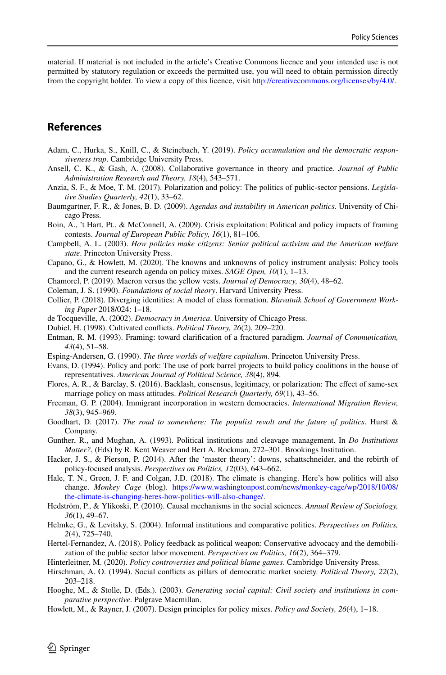material. If material is not included in the article's Creative Commons licence and your intended use is not permitted by statutory regulation or exceeds the permitted use, you will need to obtain permission directly from the copyright holder. To view a copy of this licence, visit [http://creativecommons.org/licenses/by/4.0/.](http://creativecommons.org/licenses/by/4.0/)

## **References**

- <span id="page-13-2"></span>Adam, C., Hurka, S., Knill, C., & Steinebach, Y. (2019). *Policy accumulation and the democratic responsiveness trap*. Cambridge University Press.
- <span id="page-13-10"></span>Ansell, C. K., & Gash, A. (2008). Collaborative governance in theory and practice. *Journal of Public Administration Research and Theory, 18*(4), 543–571.
- <span id="page-13-3"></span>Anzia, S. F., & Moe, T. M. (2017). Polarization and policy: The politics of public-sector pensions. *Legislative Studies Quarterly, 42*(1), 33–62.
- <span id="page-13-13"></span>Baumgartner, F. R., & Jones, B. D. (2009). *Agendas and instability in American politics*. University of Chicago Press.
- <span id="page-13-23"></span>Boin, A., 't Hart, Pt., & McConnell, A. (2009). Crisis exploitation: Political and policy impacts of framing contests. *Journal of European Public Policy, 16*(1), 81–106.
- <span id="page-13-15"></span>Campbell, A. L. (2003). *How policies make citizens: Senior political activism and the American welfare state*. Princeton University Press.
- <span id="page-13-27"></span>Capano, G., & Howlett, M. (2020). The knowns and unknowns of policy instrument analysis: Policy tools and the current research agenda on policy mixes. *SAGE Open, 10*(1), 1–13.
- <span id="page-13-12"></span>Chamorel, P. (2019). Macron versus the yellow vests. *Journal of Democracy, 30*(4), 48–62.
- <span id="page-13-16"></span>Coleman, J. S. (1990). *Foundations of social theory*. Harvard University Press.
- <span id="page-13-21"></span>Collier, P. (2018). Diverging identities: A model of class formation. *Blavatnik School of Government Working Paper* 2018/024: 1–18.
- <span id="page-13-6"></span>de Tocqueville, A. (2002). *Democracy in America*. University of Chicago Press.
- <span id="page-13-5"></span>Dubiel, H. (1998). Cultivated conficts. *Political Theory, 26*(2), 209–220.
- <span id="page-13-24"></span>Entman, R. M. (1993). Framing: toward clarifcation of a fractured paradigm. *Journal of Communication, 43*(4), 51–58.
- <span id="page-13-17"></span>Esping-Andersen, G. (1990). *The three worlds of welfare capitalism*. Princeton University Press.
- <span id="page-13-8"></span>Evans, D. (1994). Policy and pork: The use of pork barrel projects to build policy coalitions in the house of representatives. *American Journal of Political Science, 38*(4), 894.
- <span id="page-13-18"></span>Flores, A. R., & Barclay, S. (2016). Backlash, consensus, legitimacy, or polarization: The efect of same-sex marriage policy on mass attitudes. *Political Research Quarterly, 69*(1), 43–56.
- <span id="page-13-19"></span>Freeman, G. P. (2004). Immigrant incorporation in western democracies. *International Migration Review, 38*(3), 945–969.
- <span id="page-13-22"></span>Goodhart, D. (2017). *The road to somewhere: The populist revolt and the future of politics*. Hurst & Company.
- <span id="page-13-11"></span>Gunther, R., and Mughan, A. (1993). Political institutions and cleavage management. In *Do Institutions Matter?*, (Eds) by R. Kent Weaver and Bert A. Rockman, 272–301. Brookings Institution.
- <span id="page-13-4"></span>Hacker, J. S., & Pierson, P. (2014). After the 'master theory': downs, schattschneider, and the rebirth of policy-focused analysis. *Perspectives on Politics, 12*(03), 643–662.
- <span id="page-13-25"></span>Hale, T. N., Green, J. F. and Colgan, J.D. (2018). The climate is changing. Here's how politics will also change. *Monkey Cage* (blog). [https://www.washingtonpost.com/news/monkey-cage/wp/2018/10/08/](https://www.washingtonpost.com/news/monkey-cage/wp/2018/10/08/the-climate-is-changing-heres-how-politics-will-also-change/) [the-climate-is-changing-heres-how-politics-will-also-change/](https://www.washingtonpost.com/news/monkey-cage/wp/2018/10/08/the-climate-is-changing-heres-how-politics-will-also-change/).
- <span id="page-13-14"></span>Hedström, P., & Ylikoski, P. (2010). Causal mechanisms in the social sciences. *Annual Review of Sociology, 36*(1), 49–67.
- <span id="page-13-0"></span>Helmke, G., & Levitsky, S. (2004). Informal institutions and comparative politics. *Perspectives on Politics, 2*(4), 725–740.
- <span id="page-13-26"></span>Hertel-Fernandez, A. (2018). Policy feedback as political weapon: Conservative advocacy and the demobilization of the public sector labor movement. *Perspectives on Politics, 16*(2), 364–379.
- <span id="page-13-9"></span>Hinterleitner, M. (2020). *Policy controversies and political blame games*. Cambridge University Press.
- <span id="page-13-1"></span>Hirschman, A. O. (1994). Social conficts as pillars of democratic market society. *Political Theory, 22*(2), 203–218.
- <span id="page-13-7"></span>Hooghe, M., & Stolle, D. (Eds.). (2003). *Generating social capital: Civil society and institutions in comparative perspective*. Palgrave Macmillan.
- <span id="page-13-20"></span>Howlett, M., & Rayner, J. (2007). Design principles for policy mixes. *Policy and Society, 26*(4), 1–18.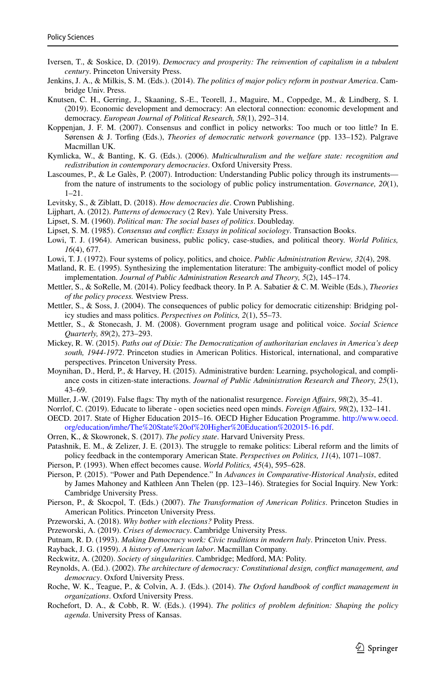- <span id="page-14-14"></span>Iversen, T., & Soskice, D. (2019). *Democracy and prosperity: The reinvention of capitalism in a tubulent century*. Princeton University Press.
- <span id="page-14-6"></span>Jenkins, J. A., & Milkis, S. M. (Eds.). (2014). *The politics of major policy reform in postwar America*. Cambridge Univ. Press.
- <span id="page-14-13"></span>Knutsen, C. H., Gerring, J., Skaaning, S.-E., Teorell, J., Maguire, M., Coppedge, M., & Lindberg, S. I. (2019). Economic development and democracy: An electoral connection: economic development and democracy. *European Journal of Political Research, 58*(1), 292–314.
- <span id="page-14-19"></span>Koppenjan, J. F. M. (2007). Consensus and confict in policy networks: Too much or too little? In E. Sørensen & J. Torfng (Eds.), *Theories of democratic network governance* (pp. 133–152). Palgrave Macmillan UK.
- <span id="page-14-27"></span>Kymlicka, W., & Banting, K. G. (Eds.). (2006). *Multiculturalism and the welfare state: recognition and redistribution in contemporary democracies*. Oxford University Press.
- <span id="page-14-26"></span>Lascoumes, P., & Le Galès, P. (2007). Introduction: Understanding Public policy through its instruments from the nature of instruments to the sociology of public policy instrumentation. *Governance, 20*(1),  $1 - 21$
- <span id="page-14-0"></span>Levitsky, S., & Ziblatt, D. (2018). *How democracies die*. Crown Publishing.
- <span id="page-14-2"></span>Lijphart, A. (2012). *Patterns of democracy* (2 Rev). Yale University Press.
- <span id="page-14-11"></span>Lipset, S. M. (1960). *Political man: The social bases of politics*. Doubleday.
- <span id="page-14-12"></span>Lipset, S. M. (1985). *Consensus and confict: Essays in political sociology*. Transaction Books.
- <span id="page-14-8"></span>Lowi, T. J. (1964). American business, public policy, case-studies, and political theory. *World Politics, 16*(4), 677.
- <span id="page-14-24"></span>Lowi, T. J. (1972). Four systems of policy, politics, and choice. *Public Administration Review, 32*(4), 298.
- <span id="page-14-17"></span>Matland, R. E. (1995). Synthesizing the implementation literature: The ambiguity-confict model of policy implementation. *Journal of Public Administration Research and Theory, 5*(2), 145–174.
- <span id="page-14-4"></span>Mettler, S., & SoRelle, M. (2014). Policy feedback theory. In P. A. Sabatier & C. M. Weible (Eds.), *Theories of the policy process.* Westview Press.
- <span id="page-14-25"></span>Mettler, S., & Soss, J. (2004). The consequences of public policy for democratic citizenship: Bridging policy studies and mass politics. *Perspectives on Politics, 2*(1), 55–73.
- <span id="page-14-23"></span>Mettler, S., & Stonecash, J. M. (2008). Government program usage and political voice. *Social Science Quarterly, 89*(2), 273–293.
- <span id="page-14-21"></span>Mickey, R. W. (2015). *Paths out of Dixie: The Democratization of authoritarian enclaves in America's deep south, 1944-1972*. Princeton studies in American Politics. Historical, international, and comparative perspectives. Princeton University Press.
- <span id="page-14-20"></span>Moynihan, D., Herd, P., & Harvey, H. (2015). Administrative burden: Learning, psychological, and compliance costs in citizen-state interactions. *Journal of Public Administration Research and Theory, 25*(1), 43–69.
- <span id="page-14-31"></span>Müller, J.-W. (2019). False fags: Thy myth of the nationalist resurgence. *Foreign Afairs*, *98*(2), 35–41.
- <span id="page-14-29"></span>Norrlof, C. (2019). Educate to liberate - open societies need open minds. *Foreign Afairs, 98*(2), 132–141.
- <span id="page-14-30"></span>OECD. 2017. State of Higher Education 2015–16. OECD Higher Education Programme. [http://www.oecd.](http://www.oecd.org/education/imhe/The%20State%20of%20Higher%20Education%202015-16.pdf) [org/education/imhe/The%20State%20of%20Higher%20Education%202015-16.pdf](http://www.oecd.org/education/imhe/The%20State%20of%20Higher%20Education%202015-16.pdf).
- <span id="page-14-5"></span>Orren, K., & Skowronek, S. (2017). *The policy state*. Harvard University Press.
- <span id="page-14-9"></span>Patashnik, E. M., & Zelizer, J. E. (2013). The struggle to remake politics: Liberal reform and the limits of policy feedback in the contemporary American State. *Perspectives on Politics, 11*(4), 1071–1087.
- <span id="page-14-10"></span>Pierson, P. (1993). When effect becomes cause. *World Politics*, 45(4), 595–628.
- <span id="page-14-33"></span>Pierson, P. (2015). "Power and Path Dependence." In *Advances in Comparative-Historical Analysis*, edited by James Mahoney and Kathleen Ann Thelen (pp. 123–146). Strategies for Social Inquiry. New York: Cambridge University Press.
- <span id="page-14-7"></span>Pierson, P., & Skocpol, T. (Eds.) (2007). *The Transformation of American Politics*. Princeton Studies in American Politics. Princeton University Press.
- <span id="page-14-15"></span>Przeworski, A. (2018). *Why bother with elections?* Polity Press.
- <span id="page-14-1"></span>Przeworski, A. (2019). *Crises of democracy*. Cambridge University Press.
- <span id="page-14-3"></span>Putnam, R. D. (1993). *Making Democracy work: Civic traditions in modern Italy*. Princeton Univ. Press.
- <span id="page-14-32"></span>Rayback, J. G. (1959). *A history of American labor*. Macmillan Company.
- <span id="page-14-28"></span>Reckwitz, A. (2020). *Society of singularities*. Cambridge; Medford, MA: Polity.
- <span id="page-14-16"></span>Reynolds, A. (Ed.). (2002). *The architecture of democracy: Constitutional design, confict management, and democracy*. Oxford University Press.
- <span id="page-14-18"></span>Roche, W. K., Teague, P., & Colvin, A. J. (Eds.). (2014). *The Oxford handbook of confict management in organizations*. Oxford University Press.
- <span id="page-14-22"></span>Rochefort, D. A., & Cobb, R. W. (Eds.). (1994). *The politics of problem defnition: Shaping the policy agenda*. University Press of Kansas.